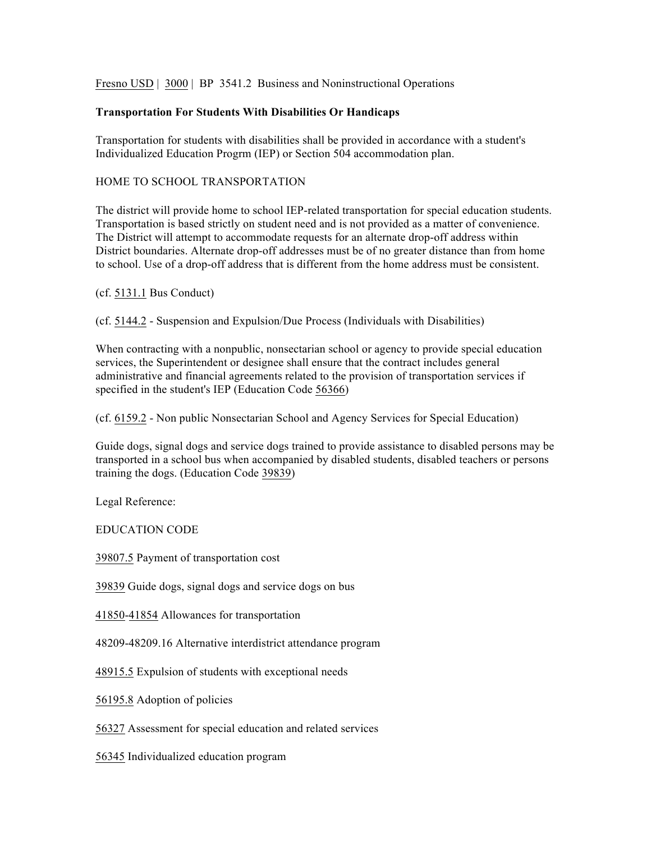Fresno USD | 3000 | BP 3541.2 Business and Noninstructional Operations

## **Transportation For Students With Disabilities Or Handicaps**

Transportation for students with disabilities shall be provided in accordance with a student's Individualized Education Progrm (IEP) or Section 504 accommodation plan.

## HOME TO SCHOOL TRANSPORTATION

The district will provide home to school IEP-related transportation for special education students. Transportation is based strictly on student need and is not provided as a matter of convenience. The District will attempt to accommodate requests for an alternate drop-off address within District boundaries. Alternate drop-off addresses must be of no greater distance than from home to school. Use of a drop-off address that is different from the home address must be consistent.

(cf. 5131.1 Bus Conduct)

(cf. 5144.2 - Suspension and Expulsion/Due Process (Individuals with Disabilities)

When contracting with a nonpublic, nonsectarian school or agency to provide special education services, the Superintendent or designee shall ensure that the contract includes general administrative and financial agreements related to the provision of transportation services if specified in the student's IEP (Education Code 56366)

(cf. 6159.2 - Non public Nonsectarian School and Agency Services for Special Education)

Guide dogs, signal dogs and service dogs trained to provide assistance to disabled persons may be transported in a school bus when accompanied by disabled students, disabled teachers or persons training the dogs. (Education Code 39839)

Legal Reference:

EDUCATION CODE

39807.5 Payment of transportation cost

39839 Guide dogs, signal dogs and service dogs on bus

41850-41854 Allowances for transportation

48209-48209.16 Alternative interdistrict attendance program

48915.5 Expulsion of students with exceptional needs

56195.8 Adoption of policies

56327 Assessment for special education and related services

56345 Individualized education program